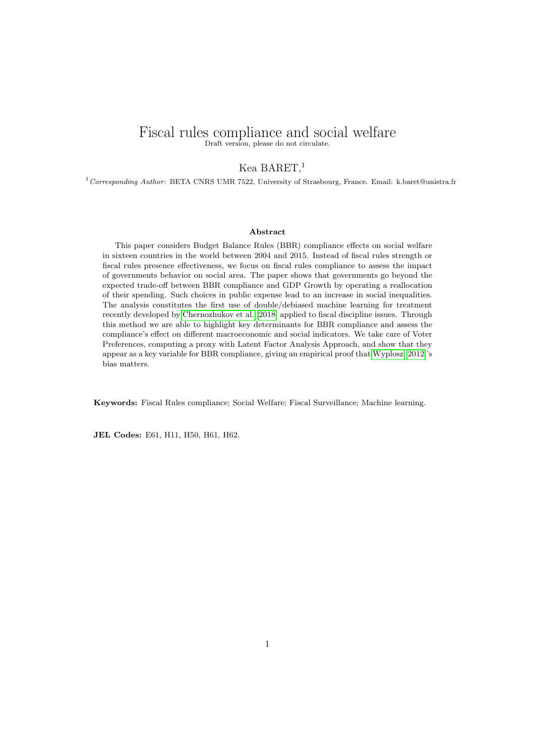# Fiscal rules compliance and social welfare Draft version, please do not circulate.

Kea BARET,<sup>1</sup>

 $1$  Corresponding Author: BETA CNRS UMR 7522, University of Strasbourg, France. Email: k.baret@unistra.fr

#### Abstract

This paper considers Budget Balance Rules (BBR) compliance effects on social welfare in sixteen countries in the world between 2004 and 2015. Instead of fiscal rules strength or fiscal rules presence effectiveness, we focus on fiscal rules compliance to assess the impact of governments behavior on social area. The paper shows that governments go beyond the expected trade-off between BBR compliance and GDP Growth by operating a reallocation of their spending. Such choices in public expense lead to an increase in social inequalities. The analysis constitutes the first use of double/debiased machine learning for treatment recently developed by [Chernozhukov et al.](#page-17-0) [\[2018\]](#page-17-0) applied to fiscal discipline issues. Through this method we are able to highlight key determinants for BBR compliance and assess the compliance's effect on different macroeconomic and social indicators. We take care of Voter Preferences, computing a proxy with Latent Factor Analysis Approach, and show that they appear as a key variable for BBR compliance, giving an empirical proof that [Wyplosz](#page-19-0) [\[2012\]](#page-19-0)'s bias matters.

Keywords: Fiscal Rules compliance; Social Welfare; Fiscal Surveillance; Machine learning.

JEL Codes: E61, H11, H50, H61, H62.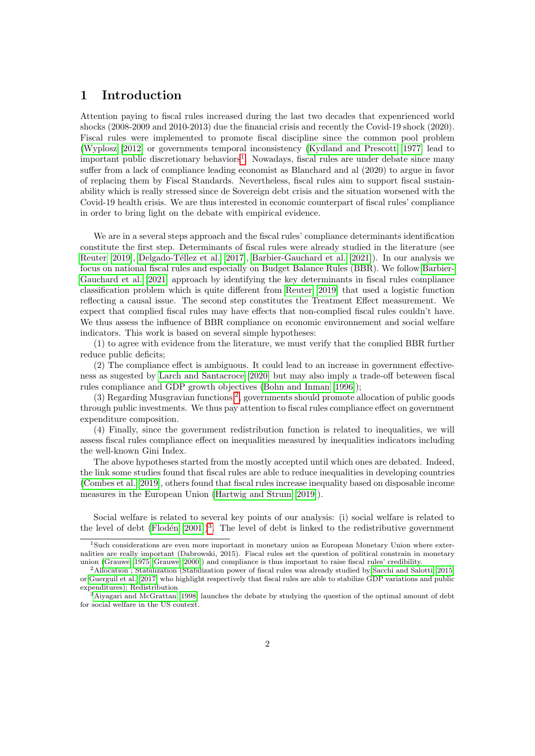## 1 Introduction

Attention paying to fiscal rules increased during the last two decades that expenrienced world shocks (2008-2009 and 2010-2013) due the financial crisis and recently the Covid-19 shock (2020). Fiscal rules were implemented to promote fiscal discipline since the common pool problem [\(Wyplosz](#page-19-0) [\[2012\]](#page-19-0) or governments temporal inconsistency [\(Kydland and Prescott](#page-18-0) [\[1977\]](#page-18-0) lead to important public discretionary behaviors<sup>[1](#page-1-0)</sup>. Nowadays, fiscal rules are under debate since many suffer from a lack of compliance leading economist as Blanchard and al (2020) to argue in favor of replacing them by Fiscal Standards. Nevertheless, fiscal rules aim to support fiscal sustainability which is really stressed since de Sovereign debt crisis and the situation worsened with the Covid-19 health crisis. We are thus interested in economic counterpart of fiscal rules' compliance in order to bring light on the debate with empirical evidence.

We are in a several steps approach and the fiscal rules' compliance determinants identification constitute the first step. Determinants of fiscal rules were already studied in the literature (see [Reuter](#page-18-1) [\[2019\]](#page-18-1), Delgado-Téllez et al. [\[2017\]](#page-17-1), [Barbier-Gauchard et al.](#page-16-0) [\[2021\]](#page-16-0)). In our analysis we focus on national fiscal rules and especially on Budget Balance Rules (BBR). We follow [Barbier-](#page-16-0)[Gauchard et al.](#page-16-0) [\[2021\]](#page-16-0) approach by identifying the key determinants in fiscal rules compliance classification problem which is quite different from [Reuter](#page-18-1) [\[2019\]](#page-18-1) that used a logistic function reflecting a causal issue. The second step constitutes the Treatment Effect measurement. We expect that complied fiscal rules may have effects that non-complied fiscal rules couldn't have. We thus assess the influence of BBR compliance on economic environnement and social welfare indicators. This work is based on several simple hypotheses:

(1) to agree with evidence from the literature, we must verify that the complied BBR further reduce public deficits;

(2) The compliance effect is ambiguous. It could lead to an increase in government effectiveness as sugested by [Larch and Santacroce](#page-18-2) [\[2020\]](#page-18-2) but may also imply a trade-off beteween fiscal rules compliance and GDP growth objectives [\(Bohn and Inman](#page-16-1) [\[1996\]](#page-16-1));

(3) Regarding Musgravian functions [2](#page-1-1) , governments should promote allocation of public goods through public investments. We thus pay attention to fiscal rules compliance effect on government expenditure composition.

(4) Finally, since the government redistribution function is related to inequalities, we will assess fiscal rules compliance effect on inequalities measured by inequalities indicators including the well-known Gini Index.

The above hypotheses started from the mostly accepted until which ones are debated. Indeed, the link some studies found that fiscal rules are able to reduce inequalities in developing countries [\(Combes et al.](#page-17-2) [\[2019\]](#page-17-2), others found that fiscal rules increase inequality based on disposable income measures in the European Union [\(Hartwig and Strum](#page-18-3) [\[2019\]](#page-18-3)).

Social welfare is related to several key points of our analysis: (i) social welfare is related to the level of debt (Flodén  $[2001]$ )<sup>[3](#page-1-2)</sup>. The level of debt is linked to the redistributive government

<span id="page-1-0"></span><sup>1</sup>Such considerations are even more important in monetary union as European Monetary Union where externalities are really important (Dabrowski, 2015). Fiscal rules set the question of political constrain in monetary union [\(Grauwe](#page-17-4) [\[1975\]](#page-17-4)[,Grauwe](#page-17-5) [\[2000\]](#page-17-5)) and compliance is thus important to raise fiscal rules' credibility.

<span id="page-1-1"></span><sup>2</sup>Allocation ; Stabilization (Stabilization power of fiscal rules was already studied by [Sacchi and Salotti](#page-18-4) [\[2015\]](#page-18-4) or [Guerguil et al.](#page-18-5) [\[2017\]](#page-18-5) who highlight respectively that fiscal rules are able to stabilize GDP variations and public expenditures); Redistribution

<span id="page-1-2"></span><sup>3</sup>[Aiyagari and McGrattan \[1998\]](#page-16-2) launches the debate by studying the question of the optimal amount of debt for social welfare in the US context.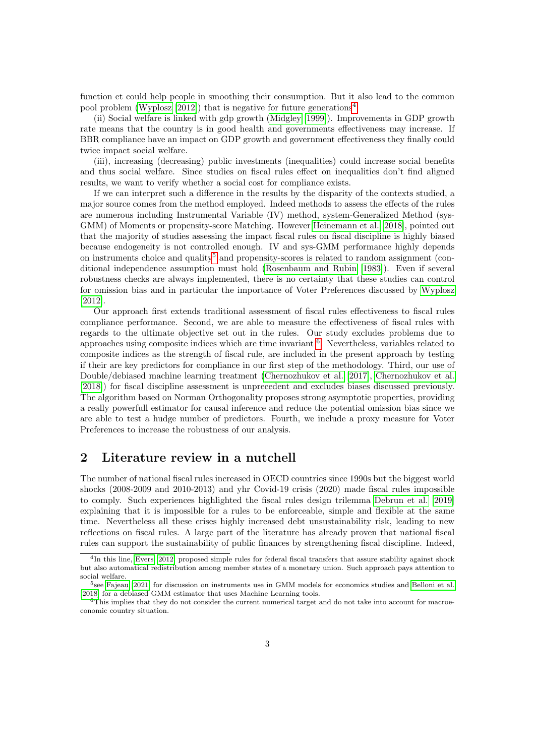function et could help people in smoothing their consumption. But it also lead to the common pool problem [\(Wyplosz](#page-19-0)  $[2012]$ ) that is negative for future generations<sup>[4](#page-2-0)</sup>.

(ii) Social welfare is linked with gdp growth [\(Midgley](#page-18-6) [\[1999\]](#page-18-6)). Improvements in GDP growth rate means that the country is in good health and governments effectiveness may increase. If BBR compliance have an impact on GDP growth and government effectiveness they finally could twice impact social welfare.

(iii), increasing (decreasing) public investments (inequalities) could increase social benefits and thus social welfare. Since studies on fiscal rules effect on inequalities don't find aligned results, we want to verify whether a social cost for compliance exists.

If we can interpret such a difference in the results by the disparity of the contexts studied, a major source comes from the method employed. Indeed methods to assess the effects of the rules are numerous including Instrumental Variable (IV) method, system-Generalized Method (sys-GMM) of Moments or propensity-score Matching. However [Heinemann et al.](#page-18-7) [\[2018\]](#page-18-7), pointed out that the majority of studies assessing the impact fiscal rules on fiscal discipline is highly biased because endogeneity is not controlled enough. IV and sys-GMM performance highly depends on instruments choice and quality<sup>[5](#page-2-1)</sup> and propensity-scores is related to random assignment (conditional independence assumption must hold [\(Rosenbaum and Rubin](#page-18-8) [\[1983\]](#page-18-8)). Even if several robustness checks are always implemented, there is no certainty that these studies can control for omission bias and in particular the importance of Voter Preferences discussed by [Wyplosz](#page-19-0) [\[2012\]](#page-19-0).

Our approach first extends traditional assessment of fiscal rules effectiveness to fiscal rules compliance performance. Second, we are able to measure the effectiveness of fiscal rules with regards to the ultimate objective set out in the rules. Our study excludes problems due to approaches using composite indices which are time invariant  $<sup>6</sup>$  $<sup>6</sup>$  $<sup>6</sup>$ . Nevertheless, variables related to</sup> composite indices as the strength of fiscal rule, are included in the present approach by testing if their are key predictors for compliance in our first step of the methodology. Third, our use of Double/debiased machine learning treatment [\(Chernozhukov et al.](#page-16-3) [\[2017\]](#page-16-3), [Chernozhukov et al.](#page-17-0) [\[2018\]](#page-17-0)) for fiscal discipline assessment is unprecedent and excludes biases discussed previously. The algorithm based on Norman Orthogonality proposes strong asymptotic properties, providing a really powerfull estimator for causal inference and reduce the potential omission bias since we are able to test a hudge number of predictors. Fourth, we include a proxy measure for Voter Preferences to increase the robustness of our analysis.

## 2 Literature review in a nutchell

The number of national fiscal rules increased in OECD countries since 1990s but the biggest world shocks (2008-2009 and 2010-2013) and yhr Covid-19 crisis (2020) made fiscal rules impossible to comply. Such experiences highlighted the fiscal rules design trilemma [Debrun et al.](#page-17-6) [\[2019\]](#page-17-6) explaining that it is impossible for a rules to be enforceable, simple and flexible at the same time. Nevertheless all these crises highly increased debt unsustainability risk, leading to new reflections on fiscal rules. A large part of the literature has already proven that national fiscal rules can support the sustainability of public finances by strengthening fiscal discipline. Indeed,

<span id="page-2-0"></span><sup>4</sup> In this line, [Evers](#page-17-7) [\[2012\]](#page-17-7) proposed simple rules for federal fiscal transfers that assure stability against shock but also automatical redistribution among member states of a monetary union. Such approach pays attention to social welfare.

<span id="page-2-1"></span><sup>5</sup> see [Fajeau \[2021\]](#page-17-8) for discussion on instruments use in GMM models for economics studies and [Belloni et al.](#page-16-4) [\[2018\]](#page-16-4) for a debiased GMM estimator that uses Machine Learning tools.

<span id="page-2-2"></span><sup>6</sup>This implies that they do not consider the current numerical target and do not take into account for macroeconomic country situation.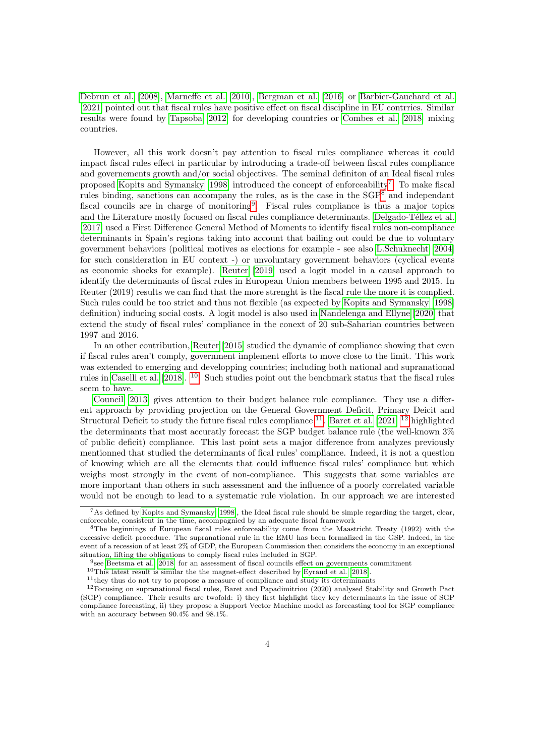[Debrun et al.](#page-17-9) [\[2008\]](#page-17-9), [Marneffe et al.](#page-18-9) [\[2010\]](#page-18-9), [Bergman et al.](#page-16-5) [\[2016\]](#page-16-5) or [Barbier-Gauchard et al.](#page-16-0) [\[2021\]](#page-16-0) pointed out that fiscal rules have positive effect on fiscal discipline in EU contrries. Similar results were found by [Tapsoba](#page-19-1) [\[2012\]](#page-19-1) for developing countries or [Combes et al.](#page-17-10) [\[2018\]](#page-17-10) mixing countries.

However, all this work doesn't pay attention to fiscal rules compliance whereas it could impact fiscal rules effect in particular by introducing a trade-off between fiscal rules compliance and governements growth and/or social objectives. The seminal definiton of an Ideal fiscal rules proposed [Kopits and Symansky](#page-18-10) [\[1998\]](#page-18-10) introduced the concept of enforceability<sup>[7](#page-3-0)</sup>. To make fiscal rules binding, sanctions can accompany the rules, as is the case in the  $SGP<sup>8</sup>$  $SGP<sup>8</sup>$  $SGP<sup>8</sup>$  and independant fiscal councils are in charge of monitoring<sup>[9](#page-3-2)</sup>. Fiscal rules compliance is thus a major topics and the Literature mostly focused on fiscal rules compliance determinants. Delgado-Téllez et al. [\[2017\]](#page-17-1) used a First Difference General Method of Moments to identify fiscal rules non-compliance determinants in Spain's regions taking into account that bailing out could be due to voluntary government behaviors (political motives as elections for example - see also [L.Schuknecht](#page-18-11) [\[2004\]](#page-18-11) for such consideration in EU context -) or unvoluntary government behaviors (cyclical events as economic shocks for example). [Reuter](#page-18-1) [\[2019\]](#page-18-1) used a logit model in a causal approach to identify the determinants of fiscal rules in European Union members between 1995 and 2015. In Reuter (2019) results we can find that the more strenght is the fiscal rule the more it is complied. Such rules could be too strict and thus not flexible (as expected by [Kopits and Symansky](#page-18-10) [\[1998\]](#page-18-10) definition) inducing social costs. A logit model is also used in [Nandelenga and Ellyne](#page-18-12) [\[2020\]](#page-18-12) that extend the study of fiscal rules' compliance in the conext of 20 sub-Saharian countries between 1997 and 2016.

In an other contribution, [Reuter](#page-18-13) [\[2015\]](#page-18-13) studied the dynamic of compliance showing that even if fiscal rules aren't comply, government implement efforts to move close to the limit. This work was extended to emerging and developping countries; including both national and supranational rules in [Caselli et al.](#page-16-6) [\[2018\]](#page-16-6). [10](#page-3-3). Such studies point out the benchmark status that the fiscal rules seem to have.

[Council](#page-17-11) [\[2013\]](#page-17-11) gives attention to their budget balance rule compliance. They use a different approach by providing projection on the General Government Deficit, Primary Deicit and Structural Deficit to study the future fiscal rules compliance  $^{11}$  $^{11}$  $^{11}$ . [Baret et al.](#page-16-7) [\[2021\]](#page-16-7)  $^{12}$  $^{12}$  $^{12}$  highlighted the determinants that most accuratly forecast the SGP budget balance rule (the well-known 3% of public deficit) compliance. This last point sets a major difference from analyzes previously mentionned that studied the determinants of fical rules' compliance. Indeed, it is not a question of knowing which are all the elements that could influence fiscal rules' compliance but which weighs most strongly in the event of non-compliance. This suggests that some variables are more important than others in such assessment and the influence of a poorly correlated variable would not be enough to lead to a systematic rule violation. In our approach we are interested

<span id="page-3-0"></span><sup>7</sup>As defined by [Kopits and Symansky](#page-18-10) [\[1998\]](#page-18-10), the Ideal fiscal rule should be simple regarding the target, clear, enforceable, consistent in the time, accompagnied by an adequate fiscal framework

<span id="page-3-1"></span><sup>&</sup>lt;sup>8</sup>The beginnings of European fiscal rules enforceability come from the Maastricht Treaty (1992) with the excessive deficit procedure. The supranational rule in the EMU has been formalized in the GSP. Indeed, in the event of a recession of at least 2% of GDP, the European Commission then considers the economy in an exceptional situation, lifting the obligations to comply fiscal rules included in SGP.

<span id="page-3-2"></span><sup>9</sup> see [Beetsma et al. \[2018\]](#page-16-8) for an assessment of fiscal councils effect on governments commitment

<span id="page-3-3"></span><sup>10</sup>This latest result is similar the the magnet-effect described by [Eyraud et al.](#page-17-12) [\[2018\]](#page-17-12).

<span id="page-3-5"></span><span id="page-3-4"></span> $11$ <sup>they</sup> thus do not try to propose a measure of compliance and study its determinants

<sup>12</sup>Focusing on supranational fiscal rules, Baret and Papadimitriou (2020) analysed Stability and Growth Pact (SGP) compliance. Their results are twofold: i) they first highlight they key determinants in the issue of SGP compliance forecasting, ii) they propose a Support Vector Machine model as forecasting tool for SGP compliance with an accuracy between 90.4% and 98.1%.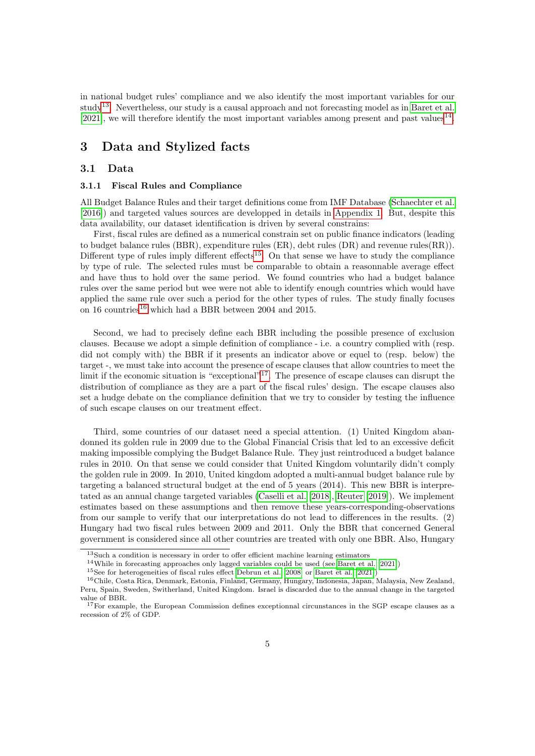<span id="page-4-6"></span>in national budget rules' compliance and we also identify the most important variables for our study<sup>[13](#page-4-0)</sup>. Nevertheless, our study is a causal approach and not forecasting model as in [Baret et al.](#page-16-7) [\[2021\]](#page-16-7), we will therefore identify the most important variables among present and past values<sup>[14](#page-4-1)</sup>.

# 3 Data and Stylized facts

#### 3.1 Data

#### <span id="page-4-5"></span>3.1.1 Fiscal Rules and Compliance

All Budget Balance Rules and their target definitions come from IMF Database [\(Schaechter et al.](#page-18-14) [\[2016\]](#page-18-14)) and targeted values sources are developped in details in [Appendix 1.](#page-20-0) But, despite this data availability, our dataset identification is driven by several constrains:

First, fiscal rules are defined as a numerical constrain set on public finance indicators (leading to budget balance rules (BBR), expenditure rules (ER), debt rules (DR) and revenue rules(RR)). Different type of rules imply different effects<sup>[15](#page-4-2)</sup>. On that sense we have to study the compliance by type of rule. The selected rules must be comparable to obtain a reasonnable average effect and have thus to hold over the same period. We found countries who had a budget balance rules over the same period but wee were not able to identify enough countries which would have applied the same rule over such a period for the other types of rules. The study finally focuses on [16](#page-4-3) countries<sup>16</sup> which had a BBR between 2004 and 2015.

Second, we had to precisely define each BBR including the possible presence of exclusion clauses. Because we adopt a simple definition of compliance - i.e. a country complied with (resp. did not comply with) the BBR if it presents an indicator above or equel to (resp. below) the target -, we must take into account the presence of escape clauses that allow countries to meet the limit if the economic situation is "exceptional"<sup>[17](#page-4-4)</sup>. The presence of escape clauses can disrupt the distribution of compliance as they are a part of the fiscal rules' design. The escape clauses also set a hudge debate on the compliance definition that we try to consider by testing the influence of such escape clauses on our treatment effect.

Third, some countries of our dataset need a special attention. (1) United Kingdom abandonned its golden rule in 2009 due to the Global Financial Crisis that led to an excessive deficit making impossible complying the Budget Balance Rule. They just reintroduced a budget balance rules in 2010. On that sense we could consider that United Kingdom voluntarily didn't comply the golden rule in 2009. In 2010, United kingdom adopted a multi-annual budget balance rule by targeting a balanced structural budget at the end of 5 years (2014). This new BBR is interpretated as an annual change targeted variables [\(Caselli et al.](#page-16-6) [\[2018\]](#page-16-6), [Reuter](#page-18-1) [\[2019\]](#page-18-1)). We implement estimates based on these assumptions and then remove these years-corresponding-observations from our sample to verify that our interpretations do not lead to differences in the results. (2) Hungary had two fiscal rules between 2009 and 2011. Only the BBR that concerned General government is considered since all other countries are treated with only one BBR. Also, Hungary

<span id="page-4-0"></span><sup>13</sup>Such a condition is necessary in order to offer efficient machine learning estimators

<span id="page-4-1"></span><sup>14</sup>While in forecasting approaches only lagged variables could be used (see [Baret et al.](#page-16-7) [\[2021\]](#page-16-7))

<span id="page-4-3"></span><span id="page-4-2"></span><sup>15</sup>See for heterogeneities of fiscal rules effect [Debrun et al.](#page-17-9) [\[2008\]](#page-17-9) or [Baret et al.](#page-16-7) [\[2021\]](#page-16-7))

<sup>&</sup>lt;sup>16</sup>Chile, Costa Rica, Denmark, Estonia, Finland, Germany, Hungary, Indonesia, Japan, Malaysia, New Zealand, Peru, Spain, Sweden, Switherland, United Kingdom. Israel is discarded due to the annual change in the targeted value of BBR.

<span id="page-4-4"></span><sup>&</sup>lt;sup>17</sup>For example, the European Commission defines exceptionnal circunstances in the SGP escape clauses as a recession of 2% of GDP.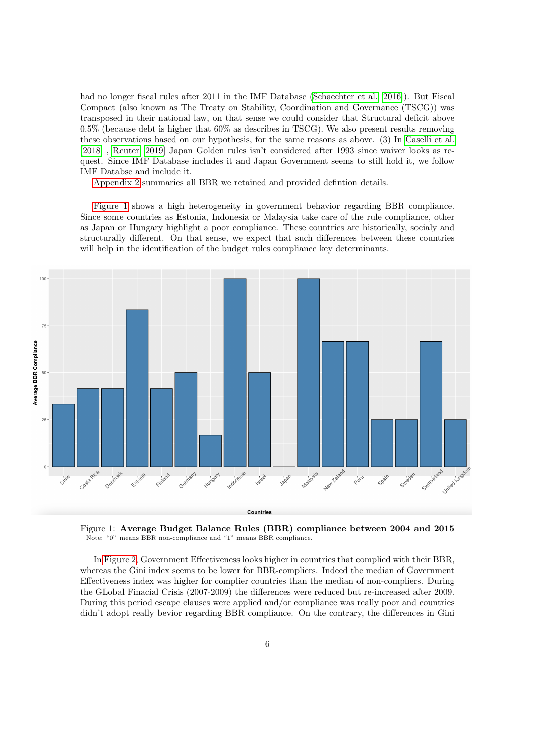had no longer fiscal rules after 2011 in the IMF Database [\(Schaechter et al.](#page-18-14) [\[2016\]](#page-18-14)). But Fiscal Compact (also known as The Treaty on Stability, Coordination and Governance (TSCG)) was transposed in their national law, on that sense we could consider that Structural deficit above 0.5% (because debt is higher that 60% as describes in TSCG). We also present results removing these observations based on our hypothesis, for the same reasons as above. (3) In [Caselli et al.](#page-16-6) [\[2018\]](#page-16-6) , [Reuter](#page-18-1) [\[2019\]](#page-18-1) Japan Golden rules isn't considered after 1993 since waiver looks as request. Since IMF Database includes it and Japan Government seems to still hold it, we follow IMF Databse and include it.

[Appendix 2](#page-21-0) summaries all BBR we retained and provided defintion details.

<span id="page-5-0"></span>[Figure 1](#page-5-0) shows a high heterogeneity in government behavior regarding BBR compliance. Since some countries as Estonia, Indonesia or Malaysia take care of the rule compliance, other as Japan or Hungary highlight a poor compliance. These countries are historically, socialy and structurally different. On that sense, we expect that such differences between these countries will help in the identification of the budget rules compliance key determinants.



Figure 1: Average Budget Balance Rules (BBR) compliance between 2004 and 2015 Note: "0" means BBR non-compliance and "1" means BBR compliance.

In [Figure 2,](#page-6-0) Government Effectiveness looks higher in countries that complied with their BBR, whereas the Gini index seems to be lower for BBR-compliers. Indeed the median of Government Effectiveness index was higher for complier countries than the median of non-compliers. During the GLobal Finacial Crisis (2007-2009) the differences were reduced but re-increased after 2009. During this period escape clauses were applied and/or compliance was really poor and countries didn't adopt really bevior regarding BBR compliance. On the contrary, the differences in Gini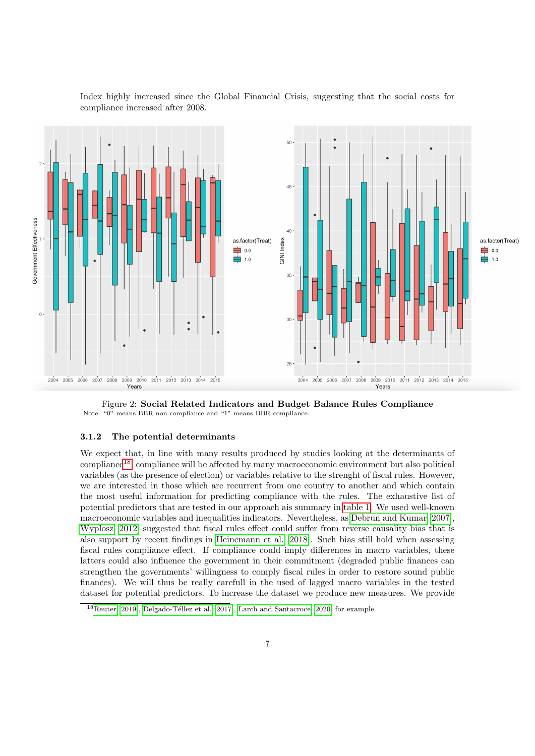

<span id="page-6-0"></span>Index highly increased since the Global Financial Crisis, suggesting that the social costs for compliance increased after 2008.

Figure 2: Social Related Indicators and Budget Balance Rules Compliance Note: "0" means BBR non-compliance and "1" means BBR compliance.

#### 3.1.2 The potential determinants

We expect that, in line with many results produced by studies looking at the determinants of compliance<sup>[18](#page-6-1)</sup>, compliance will be affected by many macroeconomic environment but also political variables (as the presence of election) or variables relative to the strenght of fiscal rules. However, we are interested in those which are recurrent from one country to another and which contain the most useful information for predicting compliance with the rules. The exhaustive list of potential predictors that are tested in our approach ais summary in [table 1.](#page-8-0) We used well-known macroeconomic variables and inequalities indicators. Nevertheless, as [Debrun and Kumar](#page-17-13) [\[2007\]](#page-17-13), [Wyplosz](#page-19-0) [\[2012\]](#page-19-0) suggested that fiscal rules effect could suffer from reverse causality bias that is also support by recent findings in [Heinemann et al.](#page-18-7) [\[2018\]](#page-18-7). Such bias still hold when assessing fiscal rules compliance effect. If compliance could imply differences in macro variables, these latters could also influence the government in their commitment (degraded public finances can strengthen the governments' willingness to comply fiscal rules in order to restore sound public finances). We will thus be really carefull in the used of lagged macro variables in the tested dataset for potential predictors. To increase the dataset we produce new measures. We provide

<span id="page-6-1"></span> $18$ [Reuter](#page-18-1) [\[2019\]](#page-18-1), Delgado-Téllez et al. [\[2017\]](#page-17-1), [Larch and Santacroce](#page-18-2) [\[2020\]](#page-18-2) for example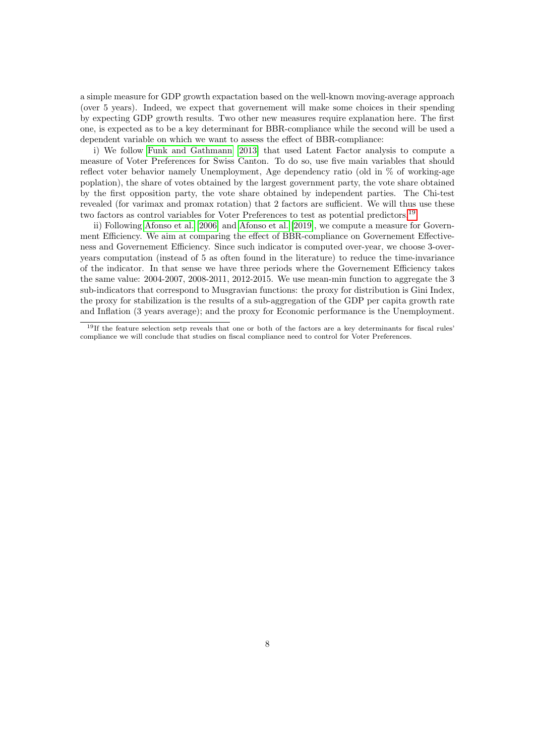a simple measure for GDP growth expactation based on the well-known moving-average approach (over 5 years). Indeed, we expect that governement will make some choices in their spending by expecting GDP growth results. Two other new measures require explanation here. The first one, is expected as to be a key determinant for BBR-compliance while the second will be used a dependent variable on which we want to assess the effect of BBR-compliance:

i) We follow [Funk and Gathmann](#page-17-14) [\[2013\]](#page-17-14) that used Latent Factor analysis to compute a measure of Voter Preferences for Swiss Canton. To do so, use five main variables that should reflect voter behavior namely Unemployment, Age dependency ratio (old in % of working-age poplation), the share of votes obtained by the largest government party, the vote share obtained by the first opposition party, the vote share obtained by independent parties. The Chi-test revealed (for varimax and promax rotation) that 2 factors are sufficient. We will thus use these two factors as control variables for Voter Preferences to test as potential predictors,<sup>[19](#page-7-0)</sup>.

ii) Following [Afonso et al.](#page-16-9) [\[2006\]](#page-16-9) and [Afonso et al.](#page-16-10) [\[2019\]](#page-16-10), we compute a measure for Government Efficiency. We aim at comparing the effect of BBR-compliance on Governement Effectiveness and Governement Efficiency. Since such indicator is computed over-year, we choose 3-overyears computation (instead of 5 as often found in the literature) to reduce the time-invariance of the indicator. In that sense we have three periods where the Governement Efficiency takes the same value: 2004-2007, 2008-2011, 2012-2015. We use mean-min function to aggregate the 3 sub-indicators that correspond to Musgravian functions: the proxy for distribution is Gini Index, the proxy for stabilization is the results of a sub-aggregation of the GDP per capita growth rate and Inflation (3 years average); and the proxy for Economic performance is the Unemployment.

<span id="page-7-0"></span><sup>&</sup>lt;sup>19</sup>If the feature selection setp reveals that one or both of the factors are a key determinants for fiscal rules' compliance we will conclude that studies on fiscal compliance need to control for Voter Preferences.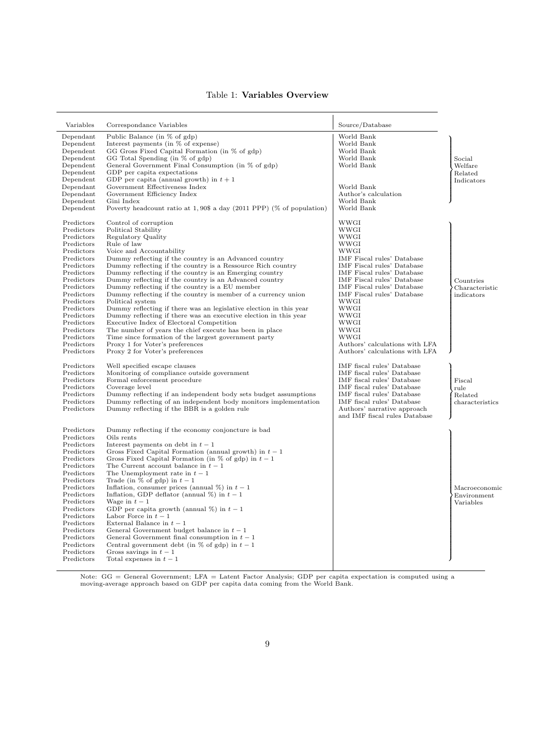## Table 1: Variables Overview

<span id="page-8-0"></span>

| Variables                | Correspondance Variables                                                                            | Source/Database                                              |                 |
|--------------------------|-----------------------------------------------------------------------------------------------------|--------------------------------------------------------------|-----------------|
| Dependant                | Public Balance (in % of gdp)                                                                        | World Bank                                                   |                 |
| Dependent                | Interest payments (in % of expense)                                                                 | World Bank                                                   |                 |
| Dependent                | GG Gross Fixed Capital Formation (in % of gdp)                                                      | World Bank                                                   |                 |
| Dependent                | GG Total Spending (in % of gdp)                                                                     | World Bank                                                   | Social          |
| Dependent                | General Government Final Consumption (in % of gdp)                                                  | World Bank                                                   | Welfare         |
| Dependent                | GDP per capita expectations                                                                         |                                                              | Related         |
| Dependent                | GDP per capita (annual growth) in $t+1$                                                             |                                                              | Indicators      |
| Dependant                | Government Effectiveness Index                                                                      | World Bank<br>Author's calculation                           |                 |
| Dependant<br>Dependent   | Government Efficiency Index<br>Gini Index                                                           | World Bank                                                   |                 |
| Dependent                | Poverty headcount ratio at $1,90\$ a day (2011 PPP) (% of population)                               | World Bank                                                   |                 |
|                          |                                                                                                     |                                                              |                 |
| Predictors<br>Predictors | Control of corruption<br>Political Stability                                                        | WWGI<br>WWGI                                                 |                 |
| Predictors               | Regulatory Quality                                                                                  | WWGI                                                         |                 |
| Predictors               | Rule of law                                                                                         | WWGI                                                         |                 |
| Predictors               | Voice and Accountability                                                                            | WWGI                                                         |                 |
| Predictors               | Dummy reflecting if the country is an Advanced country                                              | IMF Fiscal rules' Database                                   |                 |
| Predictors               | Dummy reflecting if the country is a Ressource Rich country                                         | IMF Fiscal rules' Database                                   |                 |
| Predictors               | Dummy reflecting if the country is an Emerging country                                              | IMF Fiscal rules' Database                                   |                 |
| Predictors               | Dummy reflecting if the country is an Advanced country                                              | IMF Fiscal rules' Database                                   | Countries       |
| Predictors               | Dummy reflecting if the country is a EU member                                                      | IMF Fiscal rules' Database                                   | Characteristic  |
| Predictors               | Dummy reflecting if the country is member of a currency union                                       | IMF Fiscal rules' Database                                   | indicators      |
| Predictors               | Political system                                                                                    | WWGI                                                         |                 |
| Predictors               | Dummy reflecting if there was an legislative election in this year                                  | WWGI                                                         |                 |
| Predictors               | Dummy reflecting if there was an executive election in this year                                    | WWGI                                                         |                 |
| Predictors<br>Predictors | Executive Index of Electoral Competition<br>The number of years the chief execute has been in place | WWGI<br>WWGI                                                 |                 |
| Predictors               | Time since formation of the largest government party                                                | WWGI                                                         |                 |
| Predictors               | Proxy 1 for Voter's preferences                                                                     | Authors' calculations with LFA                               |                 |
| Predictors               | Proxy 2 for Voter's preferences                                                                     | Authors' calculations with LFA                               |                 |
| Predictors               | Well specified escape clauses                                                                       | IMF fiscal rules' Database                                   |                 |
| Predictors               | Monitoring of compliance outside government                                                         | IMF fiscal rules' Database                                   |                 |
| Predictors               | Formal enforcement procedure                                                                        | IMF fiscal rules' Database                                   | Fiscal          |
| Predictors               | Coverage level                                                                                      | IMF fiscal rules' Database                                   | rule            |
| Predictors               | Dummy reflecting if an independent body sets budget assumptions                                     | IMF fiscal rules' Database                                   | Related         |
| Predictors               | Dummy reflecting of an independent body monitors implementation                                     | IMF fiscal rules' Database                                   | characteristics |
| Predictors               | Dummy reflecting if the BBR is a golden rule                                                        | Authors' narrative approach<br>and IMF fiscal rules Database |                 |
|                          |                                                                                                     |                                                              |                 |
| Predictors               | Dummy reflecting if the economy conjoncture is bad                                                  |                                                              |                 |
| Predictors               | Oils rents                                                                                          |                                                              |                 |
| Predictors<br>Predictors | Interest payments on debt in $t-1$<br>Gross Fixed Capital Formation (annual growth) in $t-1$        |                                                              |                 |
| Predictors               | Gross Fixed Capital Formation (in $\%$ of gdp) in $t-1$                                             |                                                              |                 |
| Predictors               | The Current account balance in $t-1$                                                                |                                                              |                 |
| Predictors               | The Unemployment rate in $t-1$                                                                      |                                                              |                 |
| Predictors               | Trade (in $\%$ of gdp) in $t-1$                                                                     |                                                              |                 |
| Predictors               | Inflation, consumer prices (annual $\%$ ) in $t-1$                                                  |                                                              | Macroeconomic   |
| Predictors               | Inflation, GDP deflator (annual $\%$ ) in $t-1$                                                     |                                                              | Environment     |
| Predictors               | Wage in $t-1$                                                                                       |                                                              | Variables       |
| Predictors               | GDP per capita growth (annual $\%$ ) in $t-1$                                                       |                                                              |                 |
| Predictors               | Labor Force in $t-1$                                                                                |                                                              |                 |
| Predictors<br>Predictors | External Balance in $t-1$                                                                           |                                                              |                 |
| Predictors               | General Government budget balance in $t-1$<br>General Government final consumption in $t-1$         |                                                              |                 |
| Predictors               | Central government debt (in $\%$ of gdp) in $t-1$                                                   |                                                              |                 |
| Predictors               | Gross savings in $t-1$                                                                              |                                                              |                 |
| Predictors               | Total expenses in $t-1$                                                                             |                                                              |                 |
|                          |                                                                                                     |                                                              |                 |

Note: GG = General Government; LFA = Latent Factor Analysis; GDP per capita expectation is computed using a moving-average approach based on GDP per capita data coming from the World Bank.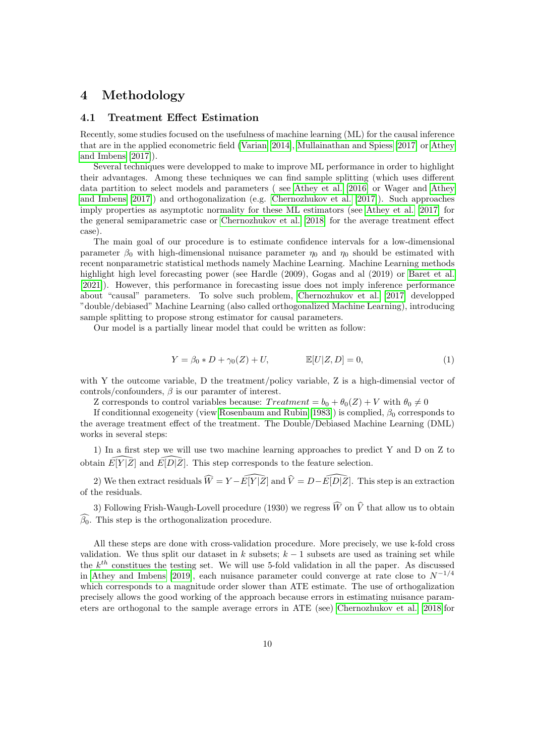## 4 Methodology

#### 4.1 Treatment Effect Estimation

Recently, some studies focused on the usefulness of machine learning (ML) for the causal inference that are in the applied econometric field [\(Varian](#page-19-2) [\[2014\]](#page-19-2), [Mullainathan and Spiess](#page-18-15) [\[2017\]](#page-18-15) or [Athey](#page-16-11) [and Imbens](#page-16-11) [\[2017\]](#page-16-11)).

Several techniques were developped to make to improve ML performance in order to highlight their advantages. Among these techniques we can find sample splitting (which uses different data partition to select models and parameters ( see [Athey et al.](#page-16-12) [\[2016\]](#page-16-12) or Wager and [Athey](#page-16-11) [and Imbens](#page-16-11) [\[2017\]](#page-16-11)) and orthogonalization (e.g. [Chernozhukov et al.](#page-16-3) [\[2017\]](#page-16-3)). Such approaches imply properties as asymptotic normality for these ML estimators (see [Athey et al.](#page-16-13) [\[2017\]](#page-16-13) for the general semiparametric case or [Chernozhukov et al.](#page-17-0) [\[2018\]](#page-17-0) for the average treatment effect case).

The main goal of our procedure is to estimate confidence intervals for a low-dimensional parameter  $\beta_0$  with high-dimensional nuisance parameter  $\eta_0$  and  $\eta_0$  should be estimated with recent nonparametric statistical methods namely Machine Learning. Machine Learning methods highlight high level forecasting power (see Hardle (2009), Gogas and al (2019) or [Baret et al.](#page-16-7) [\[2021\]](#page-16-7)). However, this performance in forecasting issue does not imply inference performance about "causal" parameters. To solve such problem, [Chernozhukov et al.](#page-16-3) [\[2017\]](#page-16-3) developped "double/debiased" Machine Learning (also called orthogonalized Machine Learning), introducing sample splitting to propose strong estimator for causal parameters.

Our model is a partially linear model that could be written as follow:

$$
Y = \beta_0 * D + \gamma_0(Z) + U, \qquad \mathbb{E}[U|Z, D] = 0,
$$
 (1)

with Y the outcome variable, D the treatment/policy variable,  $Z$  is a high-dimensial vector of controls/confounders,  $\beta$  is our paramter of interest.

Z corresponds to control variables because:  $Treatment = b_0 + \theta_0(Z) + V$  with  $\theta_0 \neq 0$ 

If conditionnal exogeneity (view [Rosenbaum and Rubin](#page-18-8) [\[1983\]](#page-18-8)) is complied,  $\beta_0$  corresponds to the average treatment effect of the treatment. The Double/Debiased Machine Learning (DML) works in several steps:

1) In a first step we will use two machine learning approaches to predict Y and D on Z to obtain  $\widehat{E[Y|Z]}$  and  $\widehat{E[D|Z]}$ . This step corresponds to the feature selection.

2) We then extract residuals  $\widehat{W} = Y - \widehat{E[Y |Z]}$  and  $\widehat{V} = D - \widehat{E[D |Z]}$ . This step is an extraction of the residuals.

3) Following Frish-Waugh-Lovell procedure (1930) we regress  $\widehat{W}$  on  $\widehat{V}$  that allow us to obtain  $\widehat{\beta_0}$ . This step is the orthogonalization procedure.

All these steps are done with cross-validation procedure. More precisely, we use k-fold cross validation. We thus split our dataset in k subsets;  $k - 1$  subsets are used as training set while the  $k^{th}$  constitues the testing set. We will use 5-fold validation in all the paper. As discussed in [Athey and Imbens](#page-16-14) [\[2019\]](#page-16-14), each nuisance parameter could converge at rate close to  $N^{-1/4}$ which corresponds to a magnitude order slower than ATE estimate. The use of orthogalization precisely allows the good working of the approach because errors in estimating nuisance parameters are orthogonal to the sample average errors in ATE (see) [Chernozhukov et al.](#page-17-0) [\[2018\]](#page-17-0)for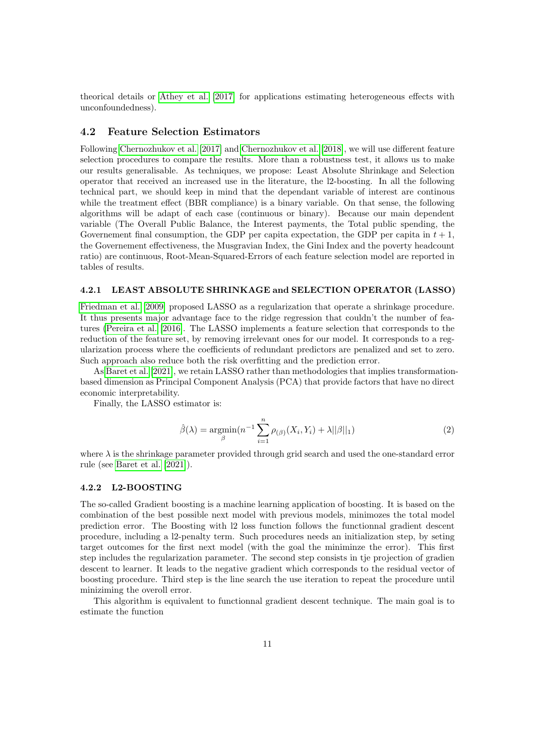theorical details or [Athey et al.](#page-16-13) [\[2017\]](#page-16-13) for applications estimating heterogeneous effects with unconfoundedness).

### 4.2 Feature Selection Estimators

Following [Chernozhukov et al.](#page-16-3) [\[2017\]](#page-16-3) and [Chernozhukov et al.](#page-17-0) [\[2018\]](#page-17-0), we will use different feature selection procedures to compare the results. More than a robustness test, it allows us to make our results generalisable. As techniques, we propose: Least Absolute Shrinkage and Selection operator that received an increased use in the literature, the l2-boosting. In all the following technical part, we should keep in mind that the dependant variable of interest are continous while the treatment effect (BBR compliance) is a binary variable. On that sense, the following algorithms will be adapt of each case (continuous or binary). Because our main dependent variable (The Overall Public Balance, the Interest payments, the Total public spending, the Governement final consumption, the GDP per capita expectation, the GDP per capita in  $t + 1$ , the Governement effectiveness, the Musgravian Index, the Gini Index and the poverty headcount ratio) are continuous, Root-Mean-Squared-Errors of each feature selection model are reported in tables of results.

#### 4.2.1 LEAST ABSOLUTE SHRINKAGE and SELECTION OPERATOR (LASSO)

[Friedman et al.](#page-17-15) [\[2009\]](#page-17-15) proposed LASSO as a regularization that operate a shrinkage procedure. It thus presents major advantage face to the ridge regression that couldn't the number of features [\(Pereira et al.](#page-18-16) [\[2016\]](#page-18-16). The LASSO implements a feature selection that corresponds to the reduction of the feature set, by removing irrelevant ones for our model. It corresponds to a regularization process where the coefficients of redundant predictors are penalized and set to zero. Such approach also reduce both the risk overfitting and the prediction error.

As [Baret et al.](#page-16-7) [\[2021\]](#page-16-7), we retain LASSO rather than methodologies that implies transformationbased dimension as Principal Component Analysis (PCA) that provide factors that have no direct economic interpretability.

Finally, the LASSO estimator is:

$$
\hat{\beta}(\lambda) = \underset{\beta}{\text{argmin}} (n^{-1} \sum_{i=1}^{n} \rho_{(\beta)}(X_i, Y_i) + \lambda ||\beta||_1)
$$
\n(2)

where  $\lambda$  is the shrinkage parameter provided through grid search and used the one-standard error rule (see [Baret et al.](#page-16-7) [\[2021\]](#page-16-7)).

#### 4.2.2 L2-BOOSTING

The so-called Gradient boosting is a machine learning application of boosting. It is based on the combination of the best possible next model with previous models, minimozes the total model prediction error. The Boosting with l2 loss function follows the functionnal gradient descent procedure, including a l2-penalty term. Such procedures needs an initialization step, by seting target outcomes for the first next model (with the goal the miniminze the error). This first step includes the regularization parameter. The second step consists in tje projection of gradien descent to learner. It leads to the negative gradient which corresponds to the residual vector of boosting procedure. Third step is the line search the use iteration to repeat the procedure until miniziming the overoll error.

This algorithm is equivalent to functionnal gradient descent technique. The main goal is to estimate the function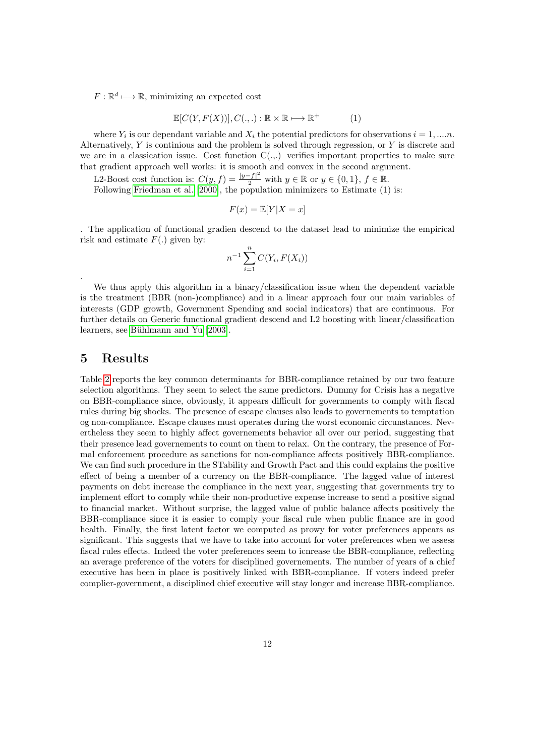$F: \mathbb{R}^d \longrightarrow \mathbb{R}$ , minimizing an expected cost

$$
\mathbb{E}[C(Y, F(X))], C(.,.): \mathbb{R} \times \mathbb{R} \longmapsto \mathbb{R}^+
$$
 (1)

where  $Y_i$  is our dependant variable and  $X_i$  the potential predictors for observations  $i = 1, \ldots n$ . Alternatively,  $Y$  is continious and the problem is solved through regression, or  $Y$  is discrete and we are in a classication issue. Cost function  $C(.,.)$  verifies important properties to make sure that gradient approach well works: it is smooth and convex in the second argument.

L2-Boost cost function is:  $C(y, f) = \frac{|y - f|^2}{2}$  with  $y \in \mathbb{R}$  or  $y \in \{0, 1\}, f \in \mathbb{R}$ .

Following [Friedman et al.](#page-17-16) [\[2000\]](#page-17-16), the population minimizers to Estimate (1) is:

$$
F(x) = \mathbb{E}[Y|X=x]
$$

. The application of functional gradien descend to the dataset lead to minimize the empirical risk and estimate  $F(.)$  given by:

$$
n^{-1} \sum_{i=1}^{n} C(Y_i, F(X_i))
$$

We thus apply this algorithm in a binary/classification issue when the dependent variable is the treatment (BBR (non-)compliance) and in a linear approach four our main variables of interests (GDP growth, Government Spending and social indicators) that are continuous. For further details on Generic functional gradient descend and L2 boosting with linear/classification learners, see Bühlmann and Yu [\[2003\]](#page-16-15).

# 5 Results

.

Table [2](#page-12-0) reports the key common determinants for BBR-compliance retained by our two feature selection algorithms. They seem to select the same predictors. Dummy for Crisis has a negative on BBR-compliance since, obviously, it appears difficult for governments to comply with fiscal rules during big shocks. The presence of escape clauses also leads to governements to temptation og non-compliance. Escape clauses must operates during the worst economic circunstances. Nevertheless they seem to highly affect governements behavior all over our period, suggesting that their presence lead governements to count on them to relax. On the contrary, the presence of Formal enforcement procedure as sanctions for non-compliance affects positively BBR-compliance. We can find such procedure in the STability and Growth Pact and this could explains the positive effect of being a member of a currency on the BBR-compliance. The lagged value of interest payments on debt increase the compliance in the next year, suggesting that governments try to implement effort to comply while their non-productive expense increase to send a positive signal to financial market. Without surprise, the lagged value of public balance affects positively the BBR-compliance since it is easier to comply your fiscal rule when public finance are in good health. Finally, the first latent factor we computed as prowy for voter preferences appears as significant. This suggests that we have to take into account for voter preferences when we assess fiscal rules effects. Indeed the voter preferences seem to icnrease the BBR-compliance, reflecting an average preference of the voters for disciplined governements. The number of years of a chief executive has been in place is positively linked with BBR-compliance. If voters indeed prefer complier-government, a disciplined chief executive will stay longer and increase BBR-compliance.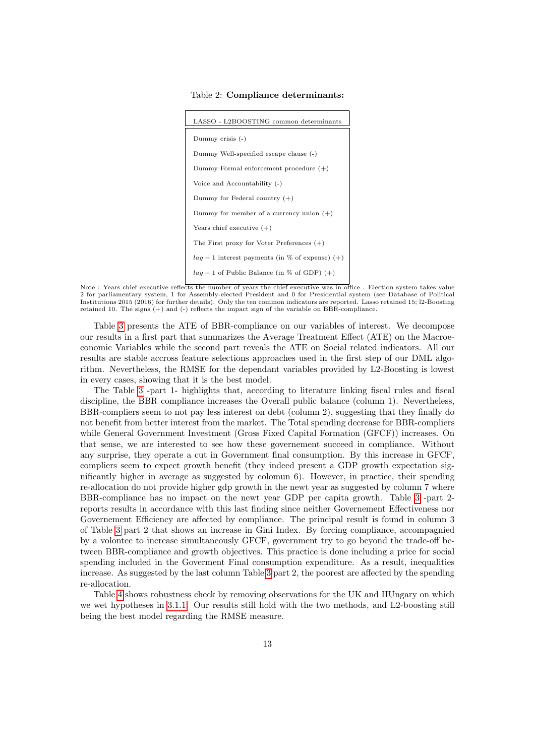Table 2: Compliance determinants:

<span id="page-12-0"></span>

| LASSO - L2BOOSTING common determinants            |
|---------------------------------------------------|
| Dummy crisis $(-)$                                |
| Dummy Well-specified escape clause (-)            |
| Dummy Formal enforcement procedure $(+)$          |
| Voice and Accountability (-)                      |
| Dummy for Federal country $(+)$                   |
| Dummy for member of a currency union $(+)$        |
| Years chief executive $(+)$                       |
| The First proxy for Voter Preferences $(+)$       |
| $lag - 1$ interest payments (in % of expense) (+) |
| $lag - 1$ of Public Balance (in % of GDP) (+)     |

Note : Years chief executive reflects the number of years the chief executive was in office . Election system takes value 2 for parliamentary system, 1 for Assembly-elected President and 0 for Presidential system (see Database of Political Institutions 2015 (2016) for further details). Only the ten common indicators are reported. Lasso retained 15; l2-Boosting retained 10. The signs  $(+)$  and  $(-)$  reflects the impact sign of the variable on BBR-compliance.

Table [3](#page-13-0) presents the ATE of BBR-compliance on our variables of interest. We decompose our results in a first part that summarizes the Average Treatment Effect (ATE) on the Macroeconomic Variables while the second part reveals the ATE on Social related indicators. All our results are stable accross feature selections approaches used in the first step of our DML algorithm. Nevertheless, the RMSE for the dependant variables provided by L2-Boosting is lowest in every cases, showing that it is the best model.

The Table [3](#page-13-0) -part 1- highlights that, according to literature linking fiscal rules and fiscal discipline, the BBR compliance increases the Overall public balance (column 1). Nevertheless, BBR-compliers seem to not pay less interest on debt (column 2), suggesting that they finally do not benefit from better interest from the market. The Total spending decrease for BBR-compliers while General Government Investment (Gross Fixed Capital Formation (GFCF)) increases. On that sense, we are interested to see how these governement succeed in compliance. Without any surprise, they operate a cut in Government final consumption. By this increase in GFCF, compliers seem to expect growth benefit (they indeed present a GDP growth expectation significantly higher in average as suggested by colomun 6). However, in practice, their spending re-allocation do not provide higher gdp growth in the newt year as suggested by column 7 where BBR-compliance has no impact on the newt year GDP per capita growth. Table [3](#page-13-0) -part 2 reports results in accordance with this last finding since neither Governement Effectiveness nor Governement Efficiency are affected by compliance. The principal result is found in column 3 of Table [3](#page-13-0) part 2 that shows an increase in Gini Index. By forcing compliance, accompagnied by a volontee to increase simultaneously GFCF, government try to go beyond the trade-off between BBR-compliance and growth objectives. This practice is done including a price for social spending included in the Goverment Final consumption expenditure. As a result, inequalities increase. As suggested by the last column Table [3](#page-13-0) part 2, the poorest are affected by the spending re-allocation.

Table [4](#page-14-0) shows robustness check by removing observations for the UK and HUngary on which we wet hypotheses in [3.1.1.](#page-4-5) Our results still hold with the two methods, and L2-boosting still being the best model regarding the RMSE measure.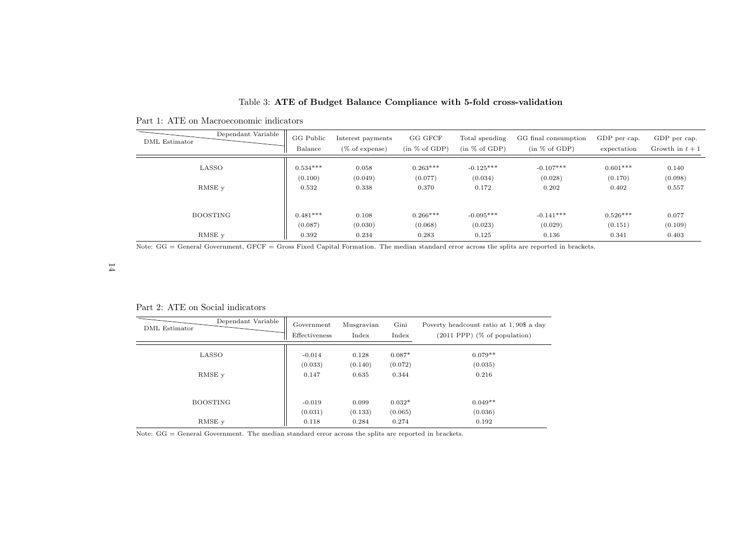| Dependant Variable   | GG Public  | Interest payments | GG GFCF       | Total spending | GG final consumption | GDP per cap. | GDP per cap.    |
|----------------------|------------|-------------------|---------------|----------------|----------------------|--------------|-----------------|
| <b>DML</b> Estimator | Balance    | $(\%$ of expense) | (in % of GDP) | (in % of GDP)  | (in % of GDP)        | expectation  | Growth in $t+1$ |
| LASSO                | $0.534***$ | 0.058             | $0.263***$    | $-0.125***$    | $-0.107***$          | $0.601***$   | 0.140           |
|                      | (0.100)    | (0.049)           | (0.077)       | (0.034)        | (0.028)              | (0.170)      | (0.098)         |
| RMSE y               | 0.532      | 0.338             | 0.370         | 0.172          | 0.202                | 0.402        | 0.557           |
| <b>BOOSTING</b>      | $0.481***$ | 0.108             | $0.266***$    | $-0.095***$    | $-0.141***$          | $0.526***$   | 0.077           |
|                      | (0.087)    | (0.030)           | (0.068)       | (0.023)        | (0.029)              | (0.151)      | (0.109)         |
| RMSE v               | 0.392      | 0.234             | 0.283         | 0.125          | 0.136                | 0.341        | 0.403           |

#### Table 3: ATE of Budget Balance Compliance with 5-fold cross-validation

Part 1: ATE on Macroeconomic indicators

Note: GG = General Government, GFCF = Gross Fixed Capital Formation. The median standard error across the splits are reported in brackets.

## $14\,$

Part 2: ATE on Social indicators

| Dependant Variable<br><b>DML</b> Estimator | Government<br>Effectiveness | Musgravian<br>Index | Gini<br>Index | Poverty headcount ratio at 1,90\$ a day<br>$(2011$ PPP $)$ (% of population) |
|--------------------------------------------|-----------------------------|---------------------|---------------|------------------------------------------------------------------------------|
| LASSO                                      | $-0.014$                    | 0.128               | $0.087*$      | $0.079**$                                                                    |
|                                            | (0.033)                     | (0.140)             | (0.072)       | (0.035)                                                                      |
| RMSE <sub>v</sub>                          | 0.147                       | 0.635               | 0.344         | 0.216                                                                        |
|                                            |                             |                     |               |                                                                              |
| <b>BOOSTING</b>                            | $-0.019$                    | 0.099               | $0.032*$      | $0.049**$                                                                    |
|                                            | (0.031)                     | (0.133)             | (0.065)       | (0.036)                                                                      |
| RMSE y                                     | 0.118                       | 0.284               | 0.274         | 0.192                                                                        |

<span id="page-13-0"></span>Note: GG <sup>=</sup> General Government. The median standard error across the splits are reported in brackets.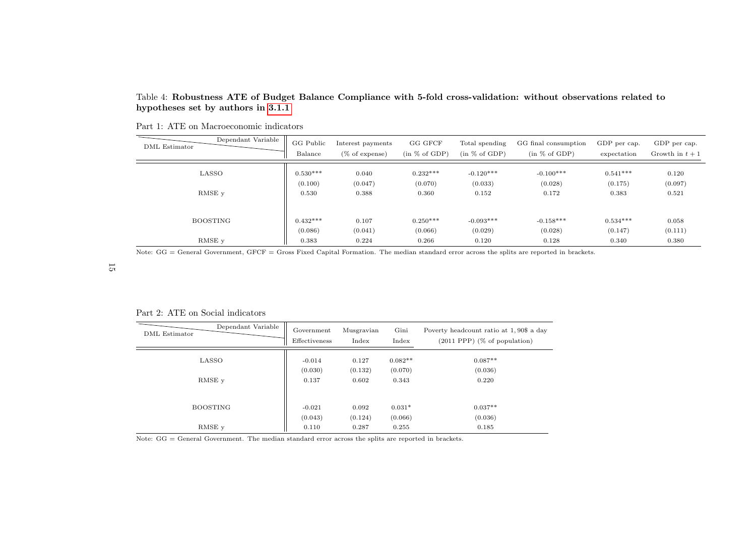#### Table 4: Robustness ATE of Budget Balance Compliance with 5-fold cross-validation: without observations related tohypotheses set by authors in [3.1.1](#page-4-6)

| Dependant Variable   | GG Public  | Interest payments | GG GFCF       | Total spending | GG final consumption | GDP per cap. | GDP per cap.    |
|----------------------|------------|-------------------|---------------|----------------|----------------------|--------------|-----------------|
| <b>DML</b> Estimator | Balance    | $(\%$ of expense) | (in % of GDP) | (in % of GDP)  | (in % of GDP)        | expectation  | Growth in $t+1$ |
| LASSO                | $0.530***$ | 0.040             | $0.232***$    | $-0.120***$    | $-0.100***$          | $0.541***$   | 0.120           |
|                      | (0.100)    | (0.047)           | (0.070)       | (0.033)        | (0.028)              | (0.175)      | (0.097)         |
| RMSE v               | 0.530      | 0.388             | 0.360         | 0.152          | 0.172                | 0.383        | 0.521           |
| <b>BOOSTING</b>      | $0.432***$ | 0.107             | $0.250***$    | $-0.093***$    | $-0.158***$          | $0.534***$   | 0.058           |
|                      | (0.086)    | (0.041)           | (0.066)       | (0.029)        | (0.028)              | (0.147)      | (0.111)         |
| RMSE v               | 0.383      | 0.224             | 0.266         | 0.120          | 0.128                | 0.340        | 0.380           |

Note: GG = General Government, GFCF = Gross Fixed Capital Formation. The median standard error across the splits are reported in brackets.

<span id="page-14-0"></span>15

Part 2: ATE on Social indicators

| Dependant Variable<br>DML Estimator | Government<br>Effectiveness | Musgravian<br>Index | Gini<br>Index    | Poverty headcount ratio at 1,90\$ a day<br>$(2011$ PPP $)$ (% of population) |
|-------------------------------------|-----------------------------|---------------------|------------------|------------------------------------------------------------------------------|
| LASSO                               | $-0.014$                    | 0.127               | $0.082**$        | $0.087**$                                                                    |
| RMSE y                              | (0.030)<br>0.137            | (0.132)<br>0.602    | (0.070)<br>0.343 | (0.036)<br>0.220                                                             |
|                                     |                             |                     |                  |                                                                              |
| <b>BOOSTING</b>                     | $-0.021$                    | 0.092               | $0.031*$         | $0.037**$                                                                    |
|                                     | (0.043)                     | (0.124)             | (0.066)          | (0.036)                                                                      |
| RMSE y                              | 0.110                       | 0.287               | 0.255            | 0.185                                                                        |

Note: GG <sup>=</sup> General Government. The median standard error across the splits are reported in brackets.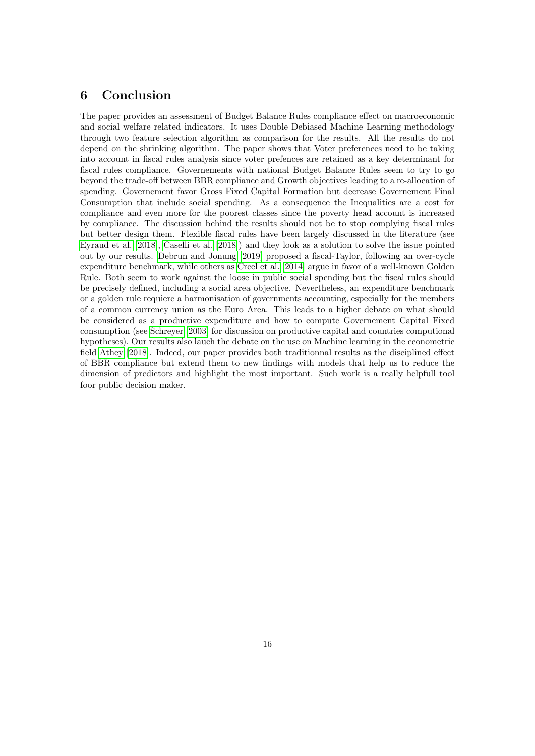## 6 Conclusion

The paper provides an assessment of Budget Balance Rules compliance effect on macroeconomic and social welfare related indicators. It uses Double Debiased Machine Learning methodology through two feature selection algorithm as comparison for the results. All the results do not depend on the shrinking algorithm. The paper shows that Voter preferences need to be taking into account in fiscal rules analysis since voter prefences are retained as a key determinant for fiscal rules compliance. Governements with national Budget Balance Rules seem to try to go beyond the trade-off between BBR compliance and Growth objectives leading to a re-allocation of spending. Governement favor Gross Fixed Capital Formation but decrease Governement Final Consumption that include social spending. As a consequence the Inequalities are a cost for compliance and even more for the poorest classes since the poverty head account is increased by compliance. The discussion behind the results should not be to stop complying fiscal rules but better design them. Flexible fiscal rules have been largely discussed in the literature (see [Eyraud et al.](#page-17-12) [\[2018\]](#page-17-12), [Caselli et al.](#page-16-6) [\[2018\]](#page-16-6)) and they look as a solution to solve the issue pointed out by our results. [Debrun and Jonung](#page-17-17) [\[2019\]](#page-17-17) proposed a fiscal-Taylor, following an over-cycle expenditure benchmark, while others as [Creel et al.](#page-17-18) [\[2014\]](#page-17-18) argue in favor of a well-known Golden Rule. Both seem to work against the loose in public social spending but the fiscal rules should be precisely defined, including a social area objective. Nevertheless, an expenditure benchmark or a golden rule requiere a harmonisation of governments accounting, especially for the members of a common currency union as the Euro Area. This leads to a higher debate on what should be considered as a productive expenditure and how to compute Governement Capital Fixed consumption (see [Schreyer](#page-18-17) [\[2003\]](#page-18-17) for discussion on productive capital and countries computional hypotheses). Our results also lauch the debate on the use on Machine learning in the econometric field [Athey](#page-16-16) [\[2018\]](#page-16-16). Indeed, our paper provides both traditionnal results as the disciplined effect of BBR compliance but extend them to new findings with models that help us to reduce the dimension of predictors and highlight the most important. Such work is a really helpfull tool foor public decision maker.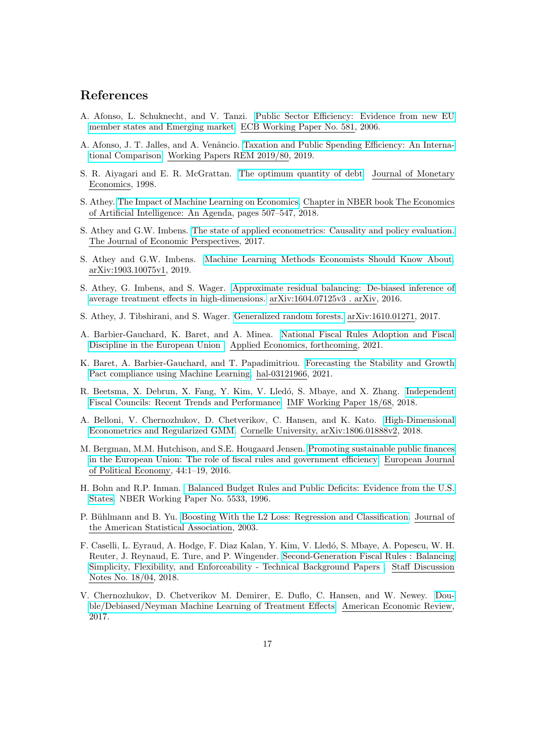## References

- <span id="page-16-9"></span>A. Afonso, L. Schuknecht, and V. Tanzi. [Public Sector Efficiency: Evidence from new EU](https://www.ecb.europa.eu/pub/pdf/scpwps/ecbwp581.pdf) [member states and Emerging market.](https://www.ecb.europa.eu/pub/pdf/scpwps/ecbwp581.pdf) ECB Working Paper No. 581, 2006.
- <span id="page-16-10"></span>A. Afonso, J. T. Jalles, and A. Venâncio. [Taxation and Public Spending Efficiency: An Interna](https://rem.rc.iseg.ulisboa.pt/wps/pdf/REM_WP_080_2019.pdf)[tional Comparison.](https://rem.rc.iseg.ulisboa.pt/wps/pdf/REM_WP_080_2019.pdf) Working Papers REM 2019/80, 2019.
- <span id="page-16-2"></span>S. R. Aiyagari and E. R. McGrattan. [The optimum quantity of debt.](https://doi.org/10.1016/S0304-3932(98)00031-2) Journal of Monetary Economics, 1998.
- <span id="page-16-16"></span>S. Athey. [The Impact of Machine Learning on Economics.](https://www.nber.org/chapters/c14009.pdf) Chapter in NBER book The Economics of Artificial Intelligence: An Agenda, pages 507–547, 2018.
- <span id="page-16-11"></span>S. Athey and G.W. Imbens. [The state of applied econometrics: Causality and policy evaluation.](https://www.aeaweb.org/articles?id=10.1257/jep.31.2.3) The Journal of Economic Perspectives, 2017.
- <span id="page-16-14"></span>S. Athey and G.W. Imbens. [Machine Learning Methods Economists Should Know About.](https://arxiv.org/abs/1903.10075) arXiv:1903.10075v1, 2019.
- <span id="page-16-12"></span>S. Athey, G. Imbens, and S. Wager. [Approximate residual balancing: De-biased inference of](http://www.accessecon.com/Pubs/EB/2019/Volume39/EB-19-V39-I2-P142.pdf) [average treatment effects in high-dimensions.](http://www.accessecon.com/Pubs/EB/2019/Volume39/EB-19-V39-I2-P142.pdf) arXiv:1604.07125v3 . arXiv, 2016.
- <span id="page-16-13"></span>S. Athey, J. Tibshirani, and S. Wager. [Generalized random forests.](https://arxiv.org/abs/1610.01271) arXiv:1610.01271, 2017.
- <span id="page-16-0"></span>A. Barbier-Gauchard, K. Baret, and A. Minea. [National Fiscal Rules Adoption and Fiscal]( http://www.beta-umr7522.fr/productions/publications/2019/2019-40.pdf) [Discipline in the European Union .]( http://www.beta-umr7522.fr/productions/publications/2019/2019-40.pdf) Applied Economics, forthcoming, 2021.
- <span id="page-16-7"></span>K. Baret, A. Barbier-Gauchard, and T. Papadimitriou. [Forecasting the Stability and Growth](https://hal.archives-ouvertes.fr/hal-03121966/document) [Pact compliance using Machine Learning.](https://hal.archives-ouvertes.fr/hal-03121966/document) hal-03121966, 2021.
- <span id="page-16-8"></span>R. Beetsma, X. Debrun, X. Fang, Y. Kim, V. Lledó, S. Mbaye, and X. Zhang. [Independent](https://www.imf.org/en/Publications/WP/Issues/2018/03/23/Independent-Fiscal-Councils-Recent-Trends-and-Performance-45726) [Fiscal Councils: Recent Trends and Performance.](https://www.imf.org/en/Publications/WP/Issues/2018/03/23/Independent-Fiscal-Councils-Recent-Trends-and-Performance-45726) IMF Working Paper 18/68, 2018.
- <span id="page-16-4"></span>A. Belloni, V. Chernozhukov, D. Chetverikov, C. Hansen, and K. Kato. [High-Dimensional](https://arxiv.org/abs/1806.01888) [Econometrics and Regularized GMM.](https://arxiv.org/abs/1806.01888) Cornelle University, arXiv:1806.01888v2, 2018.
- <span id="page-16-5"></span>M. Bergman, M.M. Hutchison, and S.E. Hougaard Jensen. [Promoting sustainable public finances](https://doi.org/10.1016/j.ejpoleco.2016.04.005) [in the European Union: The role of fiscal rules and government efficiency.](https://doi.org/10.1016/j.ejpoleco.2016.04.005) European Journal of Political Economy, 44:1–19, 2016.
- <span id="page-16-1"></span>H. Bohn and R.P. Inman. [Balanced Budget Rules and Public Deficits: Evidence from the U.S.]( https://doi.org/10.1016/S0167-2231(96)00017-6) [States.]( https://doi.org/10.1016/S0167-2231(96)00017-6) NBER Working Paper No. 5533, 1996.
- <span id="page-16-15"></span>P. Bühlmann and B. Yu. [Boosting With the L2 Loss: Regression and Classification.](https://doi.org/10.1198/016214503000125) Journal of the American Statistical Association, 2003.
- <span id="page-16-6"></span>F. Caselli, L. Eyraud, A. Hodge, F. Diaz Kalan, Y. Kim, V. Lled´o, S. Mbaye, A. Popescu, W. H. Reuter, J. Reynaud, E. Ture, and P. Wingender. [Second-Generation Fiscal Rules : Balancing]( http://www.imf.org/external/pubs/cat/longres.aspx?sk=45131) [Simplicity, Flexibility, and Enforceability - Technical Background Papers .]( http://www.imf.org/external/pubs/cat/longres.aspx?sk=45131) Staff Discussion Notes No. 18/04, 2018.
- <span id="page-16-3"></span>V. Chernozhukov, D. Chetverikov M. Demirer, E. Duflo, C. Hansen, and W. Newey. [Dou](https://doi.org/10.1111/ectj.12097)[ble/Debiased/Neyman Machine Learning of Treatment Effects.](https://doi.org/10.1111/ectj.12097) American Economic Review, 2017.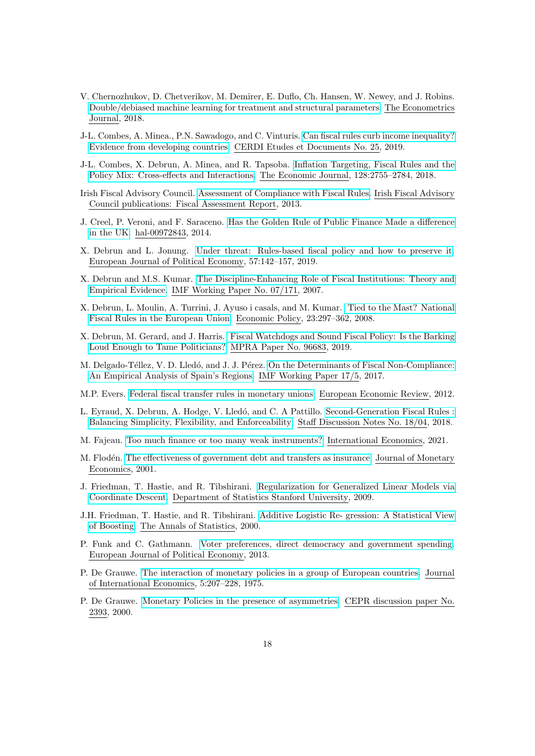- <span id="page-17-0"></span>V. Chernozhukov, D. Chetverikov, M. Demirer, E. Duflo, Ch. Hansen, W. Newey, and J. Robins. [Double/debiased machine learning for treatment and structural parameters.](https://doi.org/10.1111/ectj.12097) The Econometrics Journal, 2018.
- <span id="page-17-2"></span>J-L. Combes, A. Minea., P.N. Sawadogo, and C. Vinturis. [Can fiscal rules curb income inequality?](https://halshs.archives-ouvertes.fr/halshs-02423126/document) [Evidence from developing countries.](https://halshs.archives-ouvertes.fr/halshs-02423126/document) CERDI Etudes et Documents No. 25, 2019.
- <span id="page-17-10"></span>J-L. Combes, X. Debrun, A. Minea, and R. Tapsoba. [Inflation Targeting, Fiscal Rules and the](https://doi.org/10.1111/ecoj.12538) [Policy Mix: Cross-effects and Interactions.](https://doi.org/10.1111/ecoj.12538) The Economic Journal, 128:2755–2784, 2018.
- <span id="page-17-11"></span>Irish Fiscal Advisory Council. [Assessment of Compliance with Fiscal Rules.](https://www.fiscalcouncil.ie/wp-content/uploads/2013/04/3_Rules.pdf) Irish Fiscal Advisory Council publications: Fiscal Assessment Report, 2013.
- <span id="page-17-18"></span>J. Creel, P. Veroni, and F. Saraceno. [Has the Golden Rule of Public Finance Made a difference](https://hal-sciencespo.archives-ouvertes.fr/hal-00972843) [in the UK.](https://hal-sciencespo.archives-ouvertes.fr/hal-00972843) hal-00972843, 2014.
- <span id="page-17-17"></span>X. Debrun and L. Jonung. [Under threat: Rules-based fiscal policy and how to preserve it.](https://www.sciencedirect.com/science/article/pii/S0176268017306092) European Journal of Political Economy, 57:142–157, 2019.
- <span id="page-17-13"></span>X. Debrun and M.S. Kumar. [The Discipline-Enhancing Role of Fiscal Institutions: Theory and](https://www.imf.org/en/Publications/WP/Issues/2016/12/31/The-Discipline-Enhancing-Role-of-Fiscal-Institutions-Theory-and-Empirical-Evidence-21097) [Empirical Evidence.](https://www.imf.org/en/Publications/WP/Issues/2016/12/31/The-Discipline-Enhancing-Role-of-Fiscal-Institutions-Theory-and-Empirical-Evidence-21097) IMF Working Paper No. 07/171, 2007.
- <span id="page-17-9"></span>X. Debrun, L. Moulin, A. Turrini, J. Ayuso i casals, and M. Kumar. [Tied to the Mast? National](https://papers.ssrn.com/sol3/papers.cfm?abstract_id=1108480) [Fiscal Rules in the European Union.](https://papers.ssrn.com/sol3/papers.cfm?abstract_id=1108480) Economic Policy, 23:297–362, 2008.
- <span id="page-17-6"></span>X. Debrun, M. Gerard, and J. Harris. [Fiscal Watchdogs and Sound Fiscal Policy: Is the Barking](https://mpra.ub.uni-muenchen.de/96683/1/MPRA_paper_96683.pdf) [Loud Enough to Tame Politicians?](https://mpra.ub.uni-muenchen.de/96683/1/MPRA_paper_96683.pdf) MPRA Paper No. 96683, 2019.
- <span id="page-17-1"></span>M. Delgado-Téllez, V. D. Lledó, and J. J. Pérez. [On the Determinants of Fiscal Non-Compliance:](https://www.imf.org/en/Publications/WP/Issues/2017/01/20/On-the-Determinants-of-Fiscal-Non-Compliance-An-Empirical-Analysis-of-Spains-Regions-44552) [An Empirical Analysis of Spain's Regions.](https://www.imf.org/en/Publications/WP/Issues/2017/01/20/On-the-Determinants-of-Fiscal-Non-Compliance-An-Empirical-Analysis-of-Spains-Regions-44552) IMF Working Paper 17/5, 2017.
- <span id="page-17-7"></span>M.P. Evers. [Federal fiscal transfer rules in monetary unions.](https://doi.org/10.1016/j.euroecorev.2011.12.002) European Economic Review, 2012.
- <span id="page-17-12"></span>L. Eyraud, X. Debrun, A. Hodge, V. Lledó, and C. A Pattillo. [Second-Generation Fiscal Rules :]( http://www.imf.org/external/pubs/cat/longres.aspx?sk=45131) [Balancing Simplicity, Flexibility, and Enforceability.]( http://www.imf.org/external/pubs/cat/longres.aspx?sk=45131) Staff Discussion Notes No. 18/04, 2018.
- <span id="page-17-8"></span>M. Fajeau. [Too much finance or too many weak instruments?](https://doi.org/10.1016/j.inteco.2020.10.003) International Economics, 2021.
- <span id="page-17-3"></span>M. Flodén. [The effectiveness of government debt and transfers as insurance.](https://doi.org/10.1016/S0304-3932(01)00064-2) Journal of Monetary Economics, 2001.
- <span id="page-17-15"></span>J. Friedman, T. Hastie, and R. Tibshirani. [Regularization for Generalized Linear Models via](https://web.stanford.edu/~hastie/Papers/glmnet.pdf) [Coordinate Descent.](https://web.stanford.edu/~hastie/Papers/glmnet.pdf) Department of Statistics Stanford University, 2009.
- <span id="page-17-16"></span>J.H. Friedman, T. Hastie, and R. Tibshirani. [Additive Logistic Re- gression: A Statistical View](https://doi.org/10.1198/016214503000125) [of Boosting.](https://doi.org/10.1198/016214503000125) The Annals of Statistics, 2000.
- <span id="page-17-14"></span>P. Funk and C. Gathmann. [Voter preferences, direct democracy and government spending.](https://doi.org/10.1016/j.ejpoleco.2013.09.003) European Journal of Political Economy, 2013.
- <span id="page-17-4"></span>P. De Grauwe. [The interaction of monetary policies in a group of European countries.](https://doi.org/10.1016/0022-1996(75)90009-4) Journal of International Economics, 5:207–228, 1975.
- <span id="page-17-5"></span>P. De Grauwe. [Monetary Policies in the presence of asymmetries.](https://cepr.org/active/publications/discussion_papers/dp.php?dpno=2393) CEPR discussion paper No. 2393, 2000.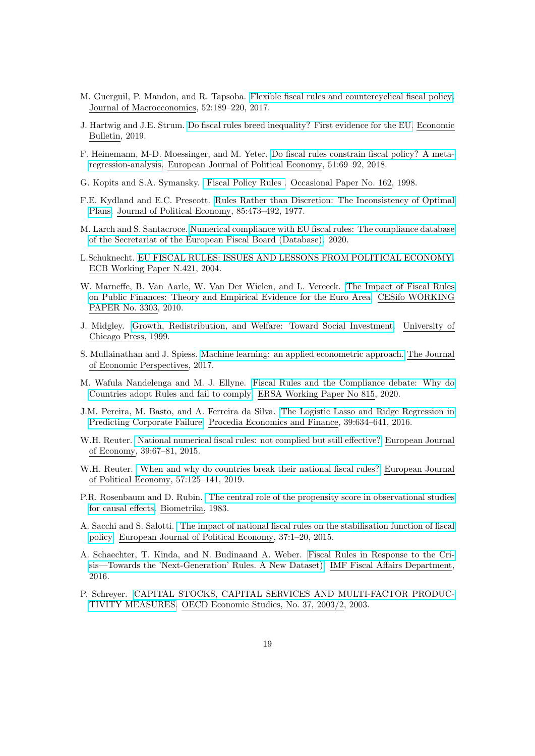- <span id="page-18-5"></span>M. Guerguil, P. Mandon, and R. Tapsoba. [Flexible fiscal rules and countercyclical fiscal policy.](https://doi.org/10.1016/j.jmacro.2017.04.007) Journal of Macroeconomics, 52:189–220, 2017.
- <span id="page-18-3"></span>J. Hartwig and J.E. Strum. [Do fiscal rules breed inequality? First evidence for the EU.](http://www.accessecon.com/Pubs/EB/2019/Volume39/EB-19-V39-I2-P142.pdf) Economic Bulletin, 2019.
- <span id="page-18-7"></span>F. Heinemann, M-D. Moessinger, and M. Yeter. [Do fiscal rules constrain fiscal policy? A meta](https://doi.org/10.1016/j.ejpoleco.2017.03.008)[regression-analysis.](https://doi.org/10.1016/j.ejpoleco.2017.03.008) European Journal of Political Economy, 51:69–92, 2018.
- <span id="page-18-10"></span>G. Kopits and S.A. Symansky. [Fiscal Policy Rules .](https://www.imf.org/external/pubs/cat/longres.aspx?sk=2608) Occasional Paper No. 162, 1998.
- <span id="page-18-0"></span>F.E. Kydland and E.C. Prescott. [Rules Rather than Discretion: The Inconsistency of Optimal](https://www.jstor.org/stable/1830193) [Plans.](https://www.jstor.org/stable/1830193) Journal of Political Economy, 85:473–492, 1977.
- <span id="page-18-2"></span>M. Larch and S. Santacroce. [Numerical compliance with EU fiscal rules: The compliance database](https://ec.europa.eu/info/business-economy-euro/economic-and-fiscal-policy-coordination/european-fiscal-board-efb/compliance-tracker_en) [of the Secretariat of the European Fiscal Board \(Database\).](https://ec.europa.eu/info/business-economy-euro/economic-and-fiscal-policy-coordination/european-fiscal-board-efb/compliance-tracker_en) 2020.
- <span id="page-18-11"></span>L.Schuknecht. [EU FISCAL RULES: ISSUES AND LESSONS FROM POLITICAL ECONOMY.](https://www.ecb.europa.eu/pub/pdf/scpwps/ecbwp421.pdf) ECB Working Paper N.421, 2004.
- <span id="page-18-9"></span>W. Marneffe, B. Van Aarle, W. Van Der Wielen, and L. Vereeck. [The Impact of Fiscal Rules]( https://www.cesifo-group.de/DocDL/cesifo1_wp3303.pdf) [on Public Finances: Theory and Empirical Evidence for the Euro Area.]( https://www.cesifo-group.de/DocDL/cesifo1_wp3303.pdf) CESifo WORKING PAPER No. 3303, 2010.
- <span id="page-18-6"></span>J. Midgley. [Growth, Redistribution, and Welfare: Toward Social Investment.](https://www.jstor.org/stable/10.1086/515795?seq=1) University of Chicago Press, 1999.
- <span id="page-18-15"></span>S. Mullainathan and J. Spiess. [Machine learning: an applied econometric approach.](https://www.aeaweb.org/articles?id=10.1257/jep.31.2.87) The Journal of Economic Perspectives, 2017.
- <span id="page-18-12"></span>M. Wafula Nandelenga and M. J. Ellyne. [Fiscal Rules and the Compliance debate: Why do](https://www.econrsa.org/publications/working-papers/fiscal-rules-and-compliance-debate-why-do-countries-adopt-rules-and-fail) [Countries adopt Rules and fail to comply.](https://www.econrsa.org/publications/working-papers/fiscal-rules-and-compliance-debate-why-do-countries-adopt-rules-and-fail) ERSA Working Paper No 815, 2020.
- <span id="page-18-16"></span>J.M. Pereira, M. Basto, and A. Ferreira da Silva. [The Logistic Lasso and Ridge Regression in](https://doi.org/10.1016/S2212-5671(16)30310-0) [Predicting Corporate Failure.](https://doi.org/10.1016/S2212-5671(16)30310-0) Procedia Economics and Finance, 39:634–641, 2016.
- <span id="page-18-13"></span>W.H. Reuter. [National numerical fiscal rules: not complied but still effective?](https://doi.org/10.1016/j.ejpoleco.2015.04.002) European Journal of Economy, 39:67–81, 2015.
- <span id="page-18-1"></span>W.H. Reuter. [When and why do countries break their national fiscal rules?](https://doi.org/10.1016/j.ejpoleco.2018.08.010) European Journal of Political Economy, 57:125–141, 2019.
- <span id="page-18-8"></span>P.R. Rosenbaum and D. Rubin. [The central role of the propensity score in observational studies](https://doi.org/10.2307/2335942) [for causal effects.](https://doi.org/10.2307/2335942) Biometrika, 1983.
- <span id="page-18-4"></span>A. Sacchi and S. Salotti. [The impact of national fiscal rules on the stabilisation function of fiscal](https://doi.org/10.1016/j.ejpoleco.2014.10.003) [policy.](https://doi.org/10.1016/j.ejpoleco.2014.10.003) European Journal of Political Economy, 37:1–20, 2015.
- <span id="page-18-14"></span>A. Schaechter, T. Kinda, and N. Budinaand A. Weber. [Fiscal Rules in Response to the Cri](https://www.imf.org/external/datamapper/FiscalRules/map/map.htm)[sis—Towards the 'Next-Generation' Rules. A New Dataset\).](https://www.imf.org/external/datamapper/FiscalRules/map/map.htm) IMF Fiscal Affairs Department, 2016.
- <span id="page-18-17"></span>P. Schreyer. [CAPITAL STOCKS, CAPITAL SERVICES AND MULTI-FACTOR PRODUC-](https://www.oecd.org/sdd/productivity-stats/29877839.pdf)[TIVITY MEASURES.](https://www.oecd.org/sdd/productivity-stats/29877839.pdf) OECD Economic Studies, No. 37, 2003/2, 2003.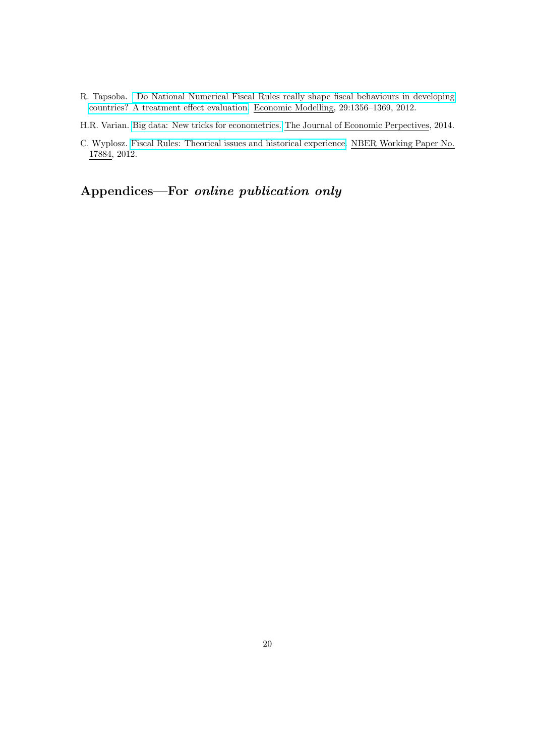<span id="page-19-1"></span>R. Tapsoba. [Do National Numerical Fiscal Rules really shape fiscal behaviours in developing](https://doi.org/10.1016/j.econmod.2012.03.003) [countries? A treatment effect evaluation.](https://doi.org/10.1016/j.econmod.2012.03.003) Economic Modelling, 29:1356–1369, 2012.

<span id="page-19-2"></span>H.R. Varian. [Big data: New tricks for econometrics.](https://www.aeaweb.org/articles?id=10.1257/jep.28.2.3) The Journal of Economic Perpectives, 2014.

<span id="page-19-0"></span>C. Wyplosz. [Fiscal Rules: Theorical issues and historical experience.](http://www.nber.org/paper/w17884) NBER Working Paper No. 17884, 2012.

Appendices—For online publication only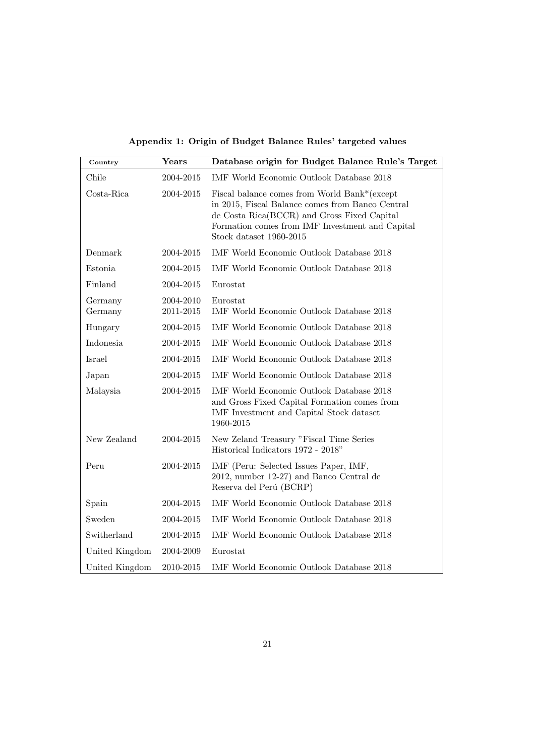Appendix 1: Origin of Budget Balance Rules' targeted values

<span id="page-20-0"></span>

| Country            | Years                  | Database origin for Budget Balance Rule's Target                                                                                                                                                                              |
|--------------------|------------------------|-------------------------------------------------------------------------------------------------------------------------------------------------------------------------------------------------------------------------------|
| Chile              | 2004-2015              | IMF World Economic Outlook Database 2018                                                                                                                                                                                      |
| Costa-Rica         | 2004-2015              | Fiscal balance comes from World Bank*(except<br>in 2015, Fiscal Balance comes from Banco Central<br>de Costa Rica(BCCR) and Gross Fixed Capital<br>Formation comes from IMF Investment and Capital<br>Stock dataset 1960-2015 |
| Denmark            | 2004-2015              | IMF World Economic Outlook Database 2018                                                                                                                                                                                      |
| Estonia            | 2004-2015              | IMF World Economic Outlook Database 2018                                                                                                                                                                                      |
| Finland            | 2004-2015              | Eurostat                                                                                                                                                                                                                      |
| Germany<br>Germany | 2004-2010<br>2011-2015 | Eurostat<br>IMF World Economic Outlook Database 2018                                                                                                                                                                          |
| Hungary            | 2004-2015              | IMF World Economic Outlook Database 2018                                                                                                                                                                                      |
| Indonesia          | 2004-2015              | IMF World Economic Outlook Database 2018                                                                                                                                                                                      |
| Israel             | 2004-2015              | IMF World Economic Outlook Database 2018                                                                                                                                                                                      |
| Japan              | 2004-2015              | IMF World Economic Outlook Database 2018                                                                                                                                                                                      |
| Malaysia           | 2004-2015              | IMF World Economic Outlook Database 2018<br>and Gross Fixed Capital Formation comes from<br>IMF Investment and Capital Stock dataset<br>1960-2015                                                                             |
| New Zealand        | 2004-2015              | New Zeland Treasury "Fiscal Time Series<br>Historical Indicators 1972 - 2018"                                                                                                                                                 |
| Peru               | 2004-2015              | IMF (Peru: Selected Issues Paper, IMF,<br>2012, number 12-27) and Banco Central de<br>Reserva del Perú (BCRP)                                                                                                                 |
| Spain              | 2004-2015              | IMF World Economic Outlook Database 2018                                                                                                                                                                                      |
| Sweden             | 2004-2015              | IMF World Economic Outlook Database 2018                                                                                                                                                                                      |
| Switherland        | 2004-2015              | IMF World Economic Outlook Database 2018                                                                                                                                                                                      |
| United Kingdom     | 2004-2009              | Eurostat                                                                                                                                                                                                                      |
| United Kingdom     | 2010-2015              | IMF World Economic Outlook Database 2018                                                                                                                                                                                      |